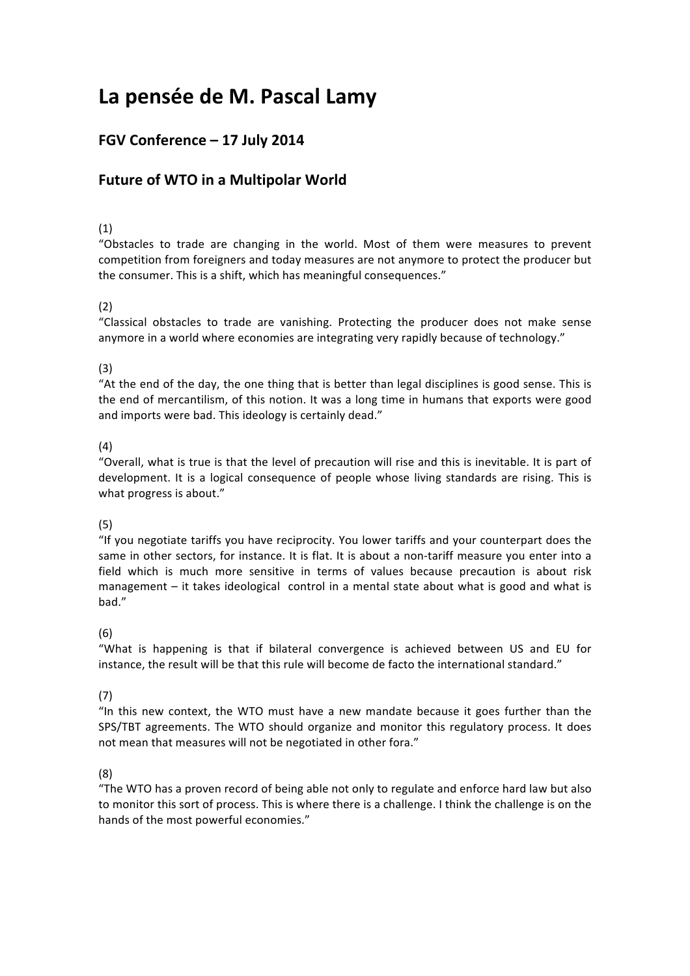# La pensée de M. Pascal Lamy

# FGV Conference - 17 July 2014

# **Future of WTO in a Multipolar World**

## (1)

"Obstacles to trade are changing in the world. Most of them were measures to prevent competition from foreigners and today measures are not anymore to protect the producer but the consumer. This is a shift, which has meaningful consequences."

# (2)

"Classical obstacles to trade are vanishing. Protecting the producer does not make sense anymore in a world where economies are integrating very rapidly because of technology."

### (3)

"At the end of the day, the one thing that is better than legal disciplines is good sense. This is the end of mercantilism, of this notion. It was a long time in humans that exports were good and imports were bad. This ideology is certainly dead."

# (4)

"Overall, what is true is that the level of precaution will rise and this is inevitable. It is part of development. It is a logical consequence of people whose living standards are rising. This is what progress is about."

### (5)

"If you negotiate tariffs you have reciprocity. You lower tariffs and your counterpart does the same in other sectors, for instance. It is flat. It is about a non-tariff measure you enter into a field which is much more sensitive in terms of values because precaution is about risk management – it takes ideological control in a mental state about what is good and what is bad."

### (6)

"What is happening is that if bilateral convergence is achieved between US and EU for instance, the result will be that this rule will become de facto the international standard."

# (7)

"In this new context, the WTO must have a new mandate because it goes further than the SPS/TBT agreements. The WTO should organize and monitor this regulatory process. It does not mean that measures will not be negotiated in other fora."

### (8)

"The WTO has a proven record of being able not only to regulate and enforce hard law but also to monitor this sort of process. This is where there is a challenge. I think the challenge is on the hands of the most powerful economies."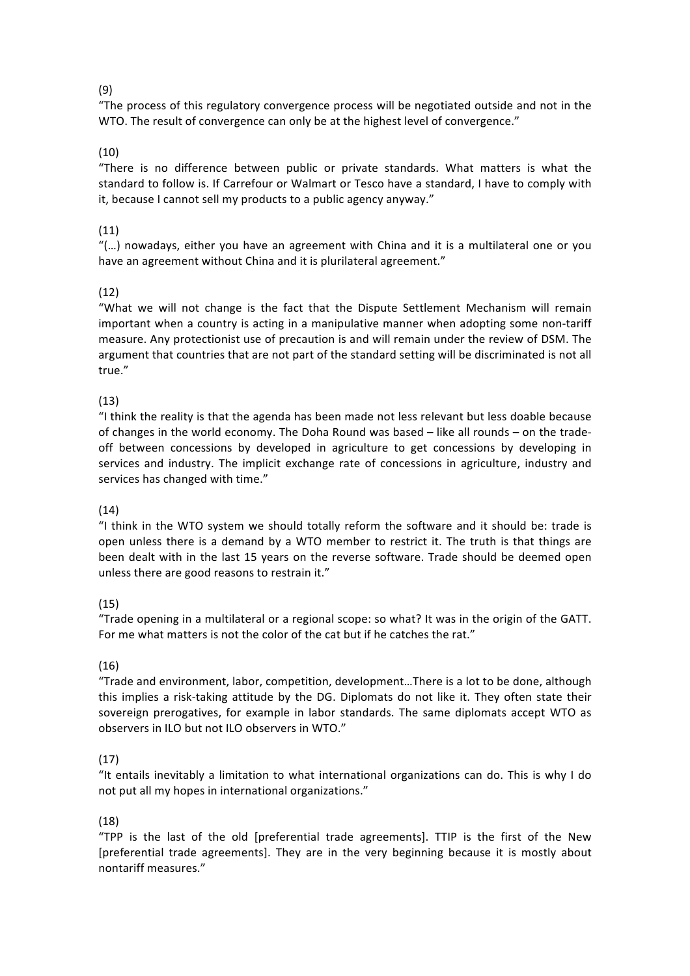# (9)

"The process of this regulatory convergence process will be negotiated outside and not in the WTO. The result of convergence can only be at the highest level of convergence."

# (10)

"There is no difference between public or private standards. What matters is what the standard to follow is. If Carrefour or Walmart or Tesco have a standard, I have to comply with it, because I cannot sell my products to a public agency anyway."

# (11)

"(...) nowadays, either you have an agreement with China and it is a multilateral one or you have an agreement without China and it is plurilateral agreement."

# (12)

"What we will not change is the fact that the Dispute Settlement Mechanism will remain important when a country is acting in a manipulative manner when adopting some non-tariff measure. Any protectionist use of precaution is and will remain under the review of DSM. The argument that countries that are not part of the standard setting will be discriminated is not all true."

# $(13)$

"I think the reality is that the agenda has been made not less relevant but less doable because of changes in the world economy. The Doha Round was based  $-$  like all rounds  $-$  on the tradeoff between concessions by developed in agriculture to get concessions by developing in services and industry. The implicit exchange rate of concessions in agriculture, industry and services has changed with time."

### (14)

"I think in the WTO system we should totally reform the software and it should be: trade is open unless there is a demand by a WTO member to restrict it. The truth is that things are been dealt with in the last 15 years on the reverse software. Trade should be deemed open unless there are good reasons to restrain it."

### (15)

"Trade opening in a multilateral or a regional scope: so what? It was in the origin of the GATT. For me what matters is not the color of the cat but if he catches the rat."

### (16)

"Trade and environment, labor, competition, development...There is a lot to be done, although this implies a risk-taking attitude by the DG. Diplomats do not like it. They often state their sovereign prerogatives, for example in labor standards. The same diplomats accept WTO as observers in ILO but not ILO observers in WTO."

### (17)

"It entails inevitably a limitation to what international organizations can do. This is why I do not put all my hopes in international organizations."

### (18)

"TPP is the last of the old [preferential trade agreements]. TTIP is the first of the New [preferential trade agreements]. They are in the very beginning because it is mostly about nontariff measures."